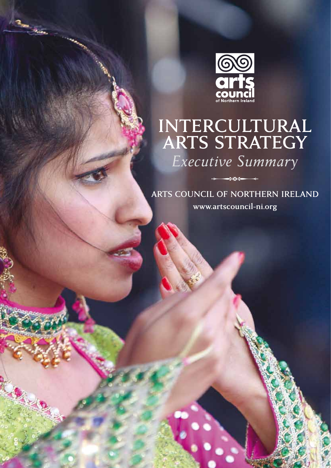

Report Follows

# $\mathbf{I}$ **ARTS STRATEGY**

*Executive Summary*

**arts council of northern ireland www.artscouncil-ni.org** Z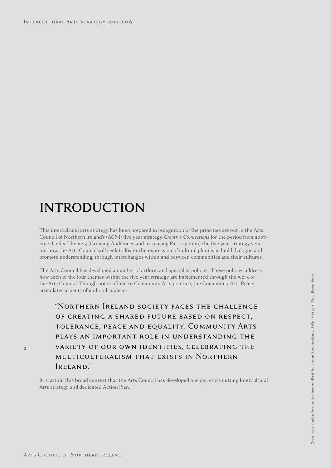## **INTRODUCTION**

This intercultural arts strategy has been prepared in recognition of the priorities set out in the Arts Council of Northern Ireland's (ACNI) five year strategy, *Creative Connections* for the period from 2007- 2012. Under Theme 3 (Growing Audiences and Increasing Participation) the five year strategy sets out how the Arts Council will seek to foster the expression of cultural pluralism, build dialogue and promote understanding, through interchanges within and between communities and their cultures.

The Arts Council has developed a number of artform and specialist policies. These policies address how each of the four themes within the five year strategy are implemented through the work of the Arts Council. Though not confined to Community Arts practice, the Community Arts Policy articulates aspects of multiculturalism:

"Northern Ireland society faces the challenge of creating a shared future based on respect, tolerance, peace and equality. Community Arts plays an important role in understanding the variety of our own identities, celebrating the multiculturalism that exists in Northern Ireland."

It is within this broad context that the Arts Council has developed a wider, cross cutting Intercultural Arts strategy and dedicated Action Plan.

 $\overline{2}$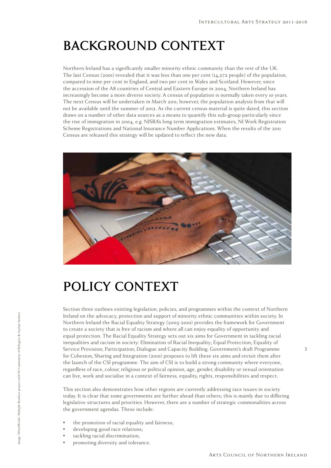## **Background Context**

Northern Ireland has a significantly smaller minority ethnic community than the rest of the UK. The last Census (2001) revealed that it was less than one per cent (14,272 people) of the population, compared to nine per cent in England, and two per cent in Wales and Scotland. However, since the accession of the A8 countries of Central and Eastern Europe in 2004, Northern Ireland has increasingly become a more diverse society. A census of population is normally taken every 10 years. The next Census will be undertaken in March 2011; however, the population analysis from that will not be available until the summer of 2012. As the current census material is quite dated, this section draws on a number of other data sources as a means to quantify this sub-group particularly since the rise of immigration in 2004, e.g. NISRA's long term immigration estimates, NI Work Registration Scheme Registrations and National Insurance Number Applications. When the results of the 2011 Census are released this strategy will be updated to reflect the new data.



## **Policy Context**

Section three outlines existing legislation, policies, and programmes within the context of Northern Ireland on the advocacy, protection and support of minority ethnic communities within society. In Northern Ireland the Racial Equality Strategy (2005-2010) provides the framework for Government to create a society that is free of racism and where all can enjoy equality of opportunity and equal protection. The Racial Equality Strategy sets out six aims for Government in tackling racial inequalities and racism in society: Elimination of Racial Inequality; Equal Protection; Equality of Service Provision; Participation; Dialogue and Capacity Building. Government's draft Programme for Cohesion, Sharing and Integration (2010) proposes to lift these six aims and revisit them after the launch of the CSI programme. The aim of CSI is to build a strong community where everyone, regardless of race, colour, religious or political opinion, age, gender, disability or sexual orientation can live, work and socialise in a context of fairness, equality, rights, responsibilities and respect.

This section also demonstrates how other regions are currently addressing race issues in society today. It is clear that some governments are further ahead than others; this is mainly due to differing legislative structures and priorities. However, there are a number of strategic commonalities across the government agendas. These include:

- the promotion of racial equality and fairness;
- developing good race relations;

Image: WheelWorks' Multiple Realities project with NI Community of Refugees & Asylum Seekers

mage: WheelWorks' Multiple Realities project with NI Community of Refugees & Asylum Seekers

- tackling racial discrimination;
- promoting diversity and tolerance.

Arts Council of Northern Ireland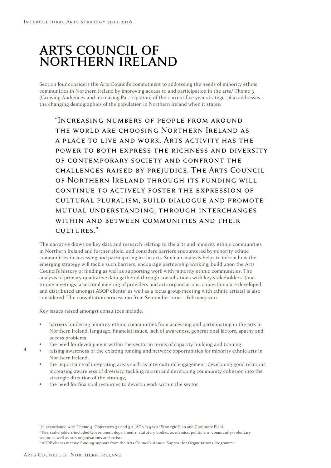#### **Arts Council of Northern Ireland**

Section four considers the Arts Council's commitment to addressing the needs of minority ethnic communities in Northern Ireland by improving access to and participation in the arts.' Theme 3 (Growing Audiences and Increasing Participation) of the current five year strategic plan addresses the changing demographics of the population in Northern Ireland when it states:

"Increasing numbers of people from around the world are choosing Northern Ireland as a place to live and work. Arts activity has the power to both express the richness and diversity of contemporary society and confront the challenges raised by prejudice. The Arts Council of Northern Ireland through its funding will continue to actively foster the expression of cultural pluralism, build dialogue and promote mutual understanding, through interchanges within and between communities and their cultures."

The narrative draws on key data and research relating to the arts and minority ethnic communities in Northern Ireland and further afield, and considers barriers encountered by minority ethnic communities in accessing and participating in the arts. Such an analysis helps to inform how the emerging strategy will tackle such barriers, encourage partnership working, build upon the Arts Council's history of funding as well as supporting work with minority ethnic communities. The analysis of primary qualitative data gathered through consultations with key stakeholders<sup>2</sup> (oneto-one meetings; a sectoral meeting of providers and arts organisations; a questionnaire developed and distributed amongst ASOP clients<sup>3</sup> as well as a focus group meeting with ethnic artists) is also considered. The consultation process ran from September 2010 – February 2011.

Key issues raised amongst consultees include:

- barriers hindering minority ethnic communities from accessing and participating in the arts in Northern Ireland: language, financial issues, lack of awareness, generational factors, apathy and access problems;
- the need for development within the sector in terms of capacity building and training;
- raising awareness of the existing funding and network opportunities for minority ethnic arts in Northern Ireland;
- the importance of integrating areas such as intercultural engagement, developing good relations, increasing awareness of diversity, tackling racism and developing community cohesion into the strategic direction of the strategy;
- the need for financial resources to develop work within the sector.

4

<sup>1</sup> In accordance with Theme 3, Objectives 3.1 and 3.2 (ACNI's 5 year Strategic Plan and Corporate Plan).

<sup>2</sup> Key stakeholders included Government departments, statutory bodies, academics, politicians, community/voluntary

sector as well as arts organisations and artists.

<sup>&</sup>lt;sup>3</sup> ASOP clients receive funding support from the Arts Council's Annual Support for Organisations Programme.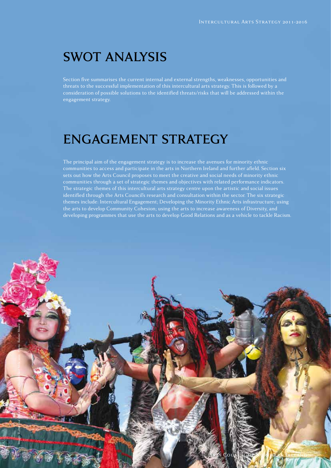#### **SWOT Analysis**

Section five summarises the current internal and external strengths, weaknesses, opportunities and threats to the successful implementation of this intercultural arts strategy. This is followed by a consideration of possible solutions to the identified threats/risks that will be addressed within the engagement strategy.

#### **Engagement Strategy**

The principal aim of the engagement strategy is to increase the avenues for minority ethnic communities to access and participate in the arts in Northern Ireland and further afield. Section six sets out how the Arts Council proposes to meet the creative and social needs of minority ethnic communities through a set of strategic themes and objectives with related performance indicators. The strategic themes of this intercultural arts strategy centre upon the artistic and social issues identified through the Arts Council's research and consultation within the sector. The six strategic themes include: Intercultural Engagement; Developing the Minority Ethnic Arts infrastructure; using the arts to develop Community Cohesion; using the arts to increase awareness of Diversity, and developing programmes that use the arts to develop Good Relations and as a vehicle to tackle Racism.

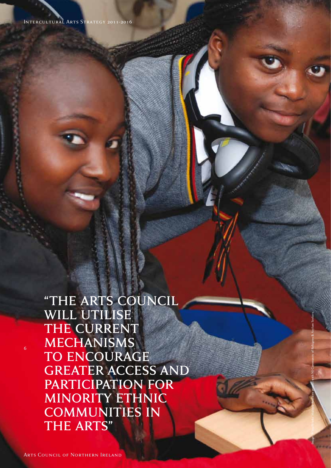**"the Arts Council will utilise the current mechanisms**  TO ENCOURAGE **GREATER ACCESS AND participation for minority ethnic communities in the arts"**

Image: WheelWorks' Multiple Realities project with NI Community of Refugees & Asylum Seekers

6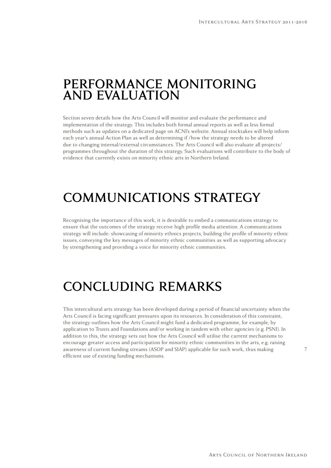#### **Performance Monitoring and Evaluation**

Section seven details how the Arts Council will monitor and evaluate the performance and implementation of the strategy. This includes both formal annual reports as well as less formal methods such as updates on a dedicated page on ACNI's website. Annual stocktakes will help inform each year's annual Action Plan as well as determining if /how the strategy needs to be altered due to changing internal/external circumstances. The Arts Council will also evaluate all projects/ programmes throughout the duration of this strategy. Such evaluations will contribute to the body of evidence that currently exists on minority ethnic arts in Northern Ireland.

### **Communications Strategy**

Recognising the importance of this work, it is desirable to embed a communications strategy to ensure that the outcomes of the strategy receive high profile media attention. A communications strategy will include: showcasing of minority ethnics projects, building the profile of minority ethnic issues, conveying the key messages of minority ethnic communities as well as supporting advocacy by strengthening and providing a voice for minority ethnic communities.

### **Concluding Remarks**

This intercultural arts strategy has been developed during a period of financial uncertainty when the Arts Council is facing significant pressures upon its resources. In consideration of this constraint, the strategy outlines how the Arts Council might fund a dedicated programme, for example, by application to Trusts and Foundations and/or working in tandem with other agencies (e.g. PSNI). In addition to this, the strategy sets out how the Arts Council will utilise the current mechanisms to encourage greater access and participation for minority ethnic communities in the arts, e.g. raising awareness of current funding streams (ASOP and SIAP) applicable for such work, thus making efficient use of existing funding mechanisms.